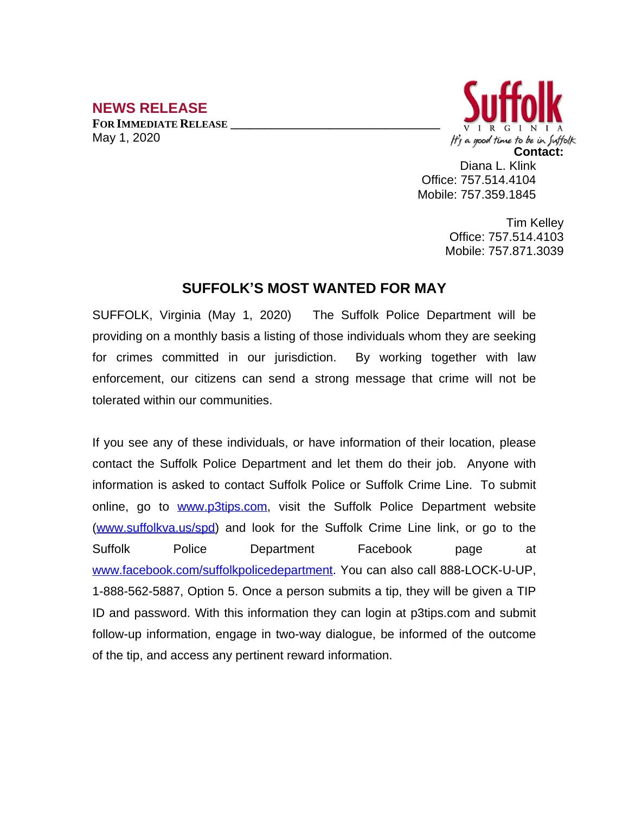## **NEWS RELEASE**

**FOR IMMEDIATE RELEASE \_\_\_\_\_\_\_\_\_\_\_\_\_\_\_\_\_\_\_\_\_\_\_\_\_\_\_\_\_\_\_\_\_\_** May 1, 2020



Diana L. Klink Office: 757.514.4104 Mobile: 757.359.1845

> Tim Kelley Office: 757.514.4103 Mobile: 757.871.3039

## **SUFFOLK'S MOST WANTED FOR MAY**

SUFFOLK, Virginia (May 1, 2020) The Suffolk Police Department will be providing on a monthly basis a listing of those individuals whom they are seeking for crimes committed in our jurisdiction. By working together with law enforcement, our citizens can send a strong message that crime will not be tolerated within our communities.

If you see any of these individuals, or have information of their location, please contact the Suffolk Police Department and let them do their job. Anyone with information is asked to contact Suffolk Police or Suffolk Crime Line. To submit online, go to [www.p3tips.com](http://www.p3tips.com), visit the Suffolk Police Department website ([www.suffolkva.us/spd](http://www.suffolkva.us/spd)) and look for the Suffolk Crime Line link, or go to the Suffolk Police Department Facebook page at [www.facebook.com/suffolkpolicedepartment](http://www.facebook.com/suffolkpolicedepartment). You can also call 888-LOCK-U-UP, 1-888-562-5887, Option 5. Once a person submits a tip, they will be given a TIP ID and password. With this information they can login at p3tips.com and submit follow-up information, engage in two-way dialogue, be informed of the outcome of the tip, and access any pertinent reward information.